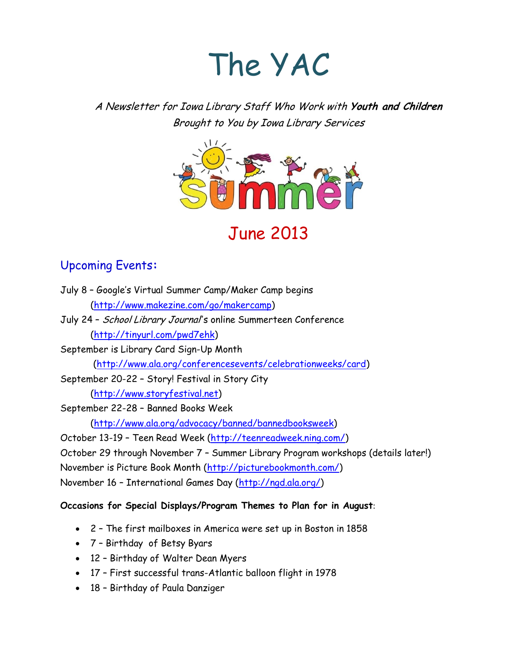# The YAC

A Newsletter for Iowa Library Staff Who Work with **Youth and Children** Brought to You by Iowa Library Services



## June 2013

## Upcoming Events**:**

- July 8 Google's Virtual Summer Camp/Maker Camp begins [\(http://www.makezine.com/go/makercamp\)](http://www.makezine.com/go/makercamp)
- July 24 School Library Journal's online Summerteen Conference [\(http://tinyurl.com/pwd7ehk\)](http://tinyurl.com/pwd7ehk)
- September is Library Card Sign-Up Month [\(http://www.ala.org/conferencesevents/celebrationweeks/card\)](http://www.ala.org/conferencesevents/celebrationweeks/card)

September 20-22 – Story! Festival in Story City

[\(http://www.storyfestival.net\)](http://www.storyfestival.net/)

September 22-28 – Banned Books Week [\(http://www.ala.org/advocacy/banned/bannedbooksweek\)](http://www.ala.org/advocacy/banned/bannedbooksweek)

October 13-19 – Teen Read Week [\(http://teenreadweek.ning.com/\)](http://teenreadweek.ning.com/)

October 29 through November 7 – Summer Library Program workshops (details later!) November is Picture Book Month [\(http://picturebookmonth.com/\)](http://picturebookmonth.com/) November 16 – International Games Day [\(http://ngd.ala.org/\)](http://ngd.ala.org/)

#### **Occasions for Special Displays/Program Themes to Plan for in August**:

- 2 The first mailboxes in America were set up in Boston in 1858
- 7 Birthday of Betsy Byars
- 12 Birthday of Walter Dean Myers
- 17 First successful trans-Atlantic balloon flight in 1978
- 18 Birthday of Paula Danziger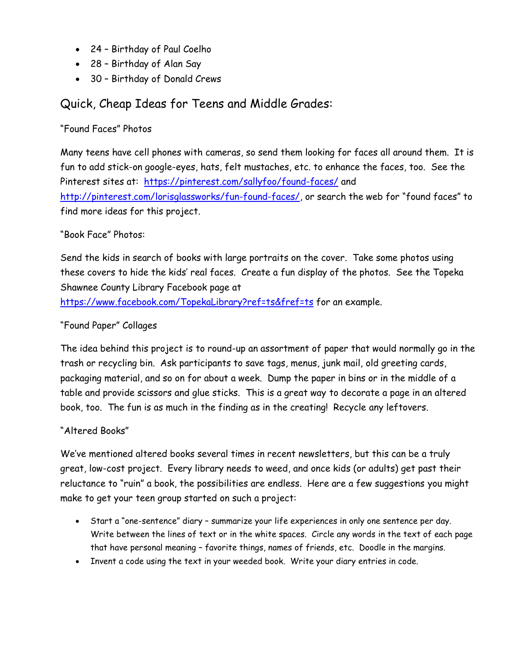- 24 Birthday of Paul Coelho
- 28 Birthday of Alan Say
- 30 Birthday of Donald Crews

### Quick, Cheap Ideas for Teens and Middle Grades:

#### "Found Faces" Photos

Many teens have cell phones with cameras, so send them looking for faces all around them. It is fun to add stick-on google-eyes, hats, felt mustaches, etc. to enhance the faces, too. See the Pinterest sites at: <https://pinterest.com/sallyfoo/found-faces/> and [http://pinterest.com/lorisglassworks/fun-found-faces/,](http://pinterest.com/lorisglassworks/fun-found-faces/) or search the web for "found faces" to find more ideas for this project.

#### "Book Face" Photos:

Send the kids in search of books with large portraits on the cover. Take some photos using these covers to hide the kids' real faces. Create a fun display of the photos. See the Topeka Shawnee County Library Facebook page at

<https://www.facebook.com/TopekaLibrary?ref=ts&fref=ts> for an example.

#### "Found Paper" Collages

The idea behind this project is to round-up an assortment of paper that would normally go in the trash or recycling bin. Ask participants to save tags, menus, junk mail, old greeting cards, packaging material, and so on for about a week. Dump the paper in bins or in the middle of a table and provide scissors and glue sticks. This is a great way to decorate a page in an altered book, too. The fun is as much in the finding as in the creating! Recycle any leftovers.

#### "Altered Books"

We've mentioned altered books several times in recent newsletters, but this can be a truly great, low-cost project. Every library needs to weed, and once kids (or adults) get past their reluctance to "ruin" a book, the possibilities are endless. Here are a few suggestions you might make to get your teen group started on such a project:

- Start a "one-sentence" diary summarize your life experiences in only one sentence per day. Write between the lines of text or in the white spaces. Circle any words in the text of each page that have personal meaning – favorite things, names of friends, etc. Doodle in the margins.
- Invent a code using the text in your weeded book. Write your diary entries in code.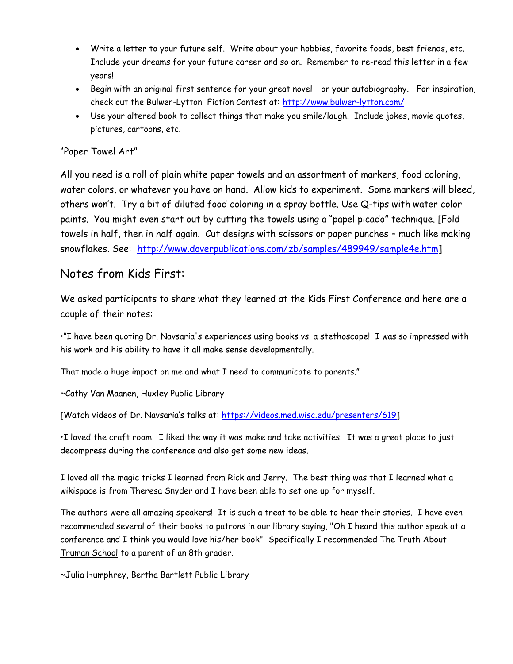- Write a letter to your future self. Write about your hobbies, favorite foods, best friends, etc. Include your dreams for your future career and so on. Remember to re-read this letter in a few years!
- Begin with an original first sentence for your great novel or your autobiography. For inspiration, check out the Bulwer-Lytton Fiction Contest at:<http://www.bulwer-lytton.com/>
- Use your altered book to collect things that make you smile/laugh. Include jokes, movie quotes, pictures, cartoons, etc.

#### "Paper Towel Art"

All you need is a roll of plain white paper towels and an assortment of markers, food coloring, water colors, or whatever you have on hand. Allow kids to experiment. Some markers will bleed, others won't. Try a bit of diluted food coloring in a spray bottle. Use Q-tips with water color paints. You might even start out by cutting the towels using a "papel picado" technique. [Fold towels in half, then in half again. Cut designs with scissors or paper punches – much like making snowflakes. See: [http://www.doverpublications.com/zb/samples/489949/sample4e.htm\]](http://www.doverpublications.com/zb/samples/489949/sample4e.htm)

#### Notes from Kids First:

We asked participants to share what they learned at the Kids First Conference and here are a couple of their notes:

•"I have been quoting Dr. Navsaria's experiences using books vs. a stethoscope! I was so impressed with his work and his ability to have it all make sense developmentally.

That made a huge impact on me and what I need to communicate to parents."

~Cathy Van Maanen, Huxley Public Library

[Watch videos of Dr. Navsaria's talks at: [https://videos.med.wisc.edu/presenters/619\]](https://videos.med.wisc.edu/presenters/619)

•I loved the craft room. I liked the way it was make and take activities. It was a great place to just decompress during the conference and also get some new ideas.

I loved all the magic tricks I learned from Rick and Jerry. The best thing was that I learned what a wikispace is from Theresa Snyder and I have been able to set one up for myself.

The authors were all amazing speakers! It is such a treat to be able to hear their stories. I have even recommended several of their books to patrons in our library saying, "Oh I heard this author speak at a conference and I think you would love his/her book" Specifically I recommended The Truth About Truman School to a parent of an 8th grader.

~Julia Humphrey, Bertha Bartlett Public Library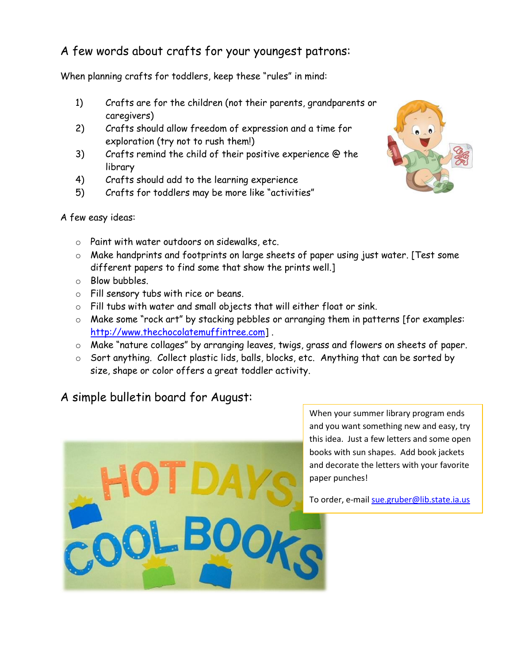## A few words about crafts for your youngest patrons:

When planning crafts for toddlers, keep these "rules" in mind:

- 1) Crafts are for the children (not their parents, grandparents or caregivers)
- 2) Crafts should allow freedom of expression and a time for exploration (try not to rush them!)
- 3) Crafts remind the child of their positive experience @ the library
- 4) Crafts should add to the learning experience
- 5) Crafts for toddlers may be more like "activities"



- o Paint with water outdoors on sidewalks, etc.
- o Make handprints and footprints on large sheets of paper using just water. [Test some different papers to find some that show the prints well.]
- o Blow bubbles.
- o Fill sensory tubs with rice or beans.
- o Fill tubs with water and small objects that will either float or sink.
- o Make some "rock art" by stacking pebbles or arranging them in patterns [for examples: [http://www.thechocolatemuffintree.com\]](http://www.thechocolatemuffintree.com/) .
- o Make "nature collages" by arranging leaves, twigs, grass and flowers on sheets of paper.
- o Sort anything. Collect plastic lids, balls, blocks, etc. Anything that can be sorted by size, shape or color offers a great toddler activity.

## A simple bulletin board for August:



When your summer library program ends and you want something new and easy, try this idea. Just a few letters and some open books with sun shapes. Add book jackets and decorate the letters with your favorite paper punches!

To order, e-mai[l sue.gruber@lib.state.ia.us](mailto:sue.gruber@lib.state.ia.us)